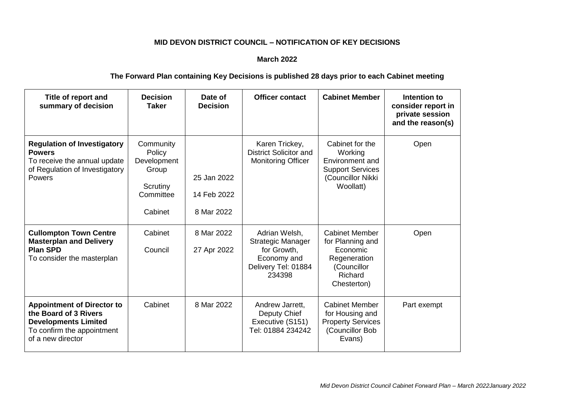## **MID DEVON DISTRICT COUNCIL – NOTIFICATION OF KEY DECISIONS**

## **March 2022**

## **The Forward Plan containing Key Decisions is published 28 days prior to each Cabinet meeting**

| Title of report and<br>summary of decision                                                                                                   | <b>Decision</b><br>Taker                                                        | Date of<br><b>Decision</b>               | <b>Officer contact</b>                                                                                   | <b>Cabinet Member</b>                                                                                          | Intention to<br>consider report in<br>private session<br>and the reason(s) |
|----------------------------------------------------------------------------------------------------------------------------------------------|---------------------------------------------------------------------------------|------------------------------------------|----------------------------------------------------------------------------------------------------------|----------------------------------------------------------------------------------------------------------------|----------------------------------------------------------------------------|
| <b>Regulation of Investigatory</b><br><b>Powers</b><br>To receive the annual update<br>of Regulation of Investigatory<br><b>Powers</b>       | Community<br>Policy<br>Development<br>Group<br>Scrutiny<br>Committee<br>Cabinet | 25 Jan 2022<br>14 Feb 2022<br>8 Mar 2022 | Karen Trickey,<br><b>District Solicitor and</b><br><b>Monitoring Officer</b>                             | Cabinet for the<br>Working<br>Environment and<br><b>Support Services</b><br>(Councillor Nikki<br>Woollatt)     | Open                                                                       |
| <b>Cullompton Town Centre</b><br><b>Masterplan and Delivery</b><br><b>Plan SPD</b><br>To consider the masterplan                             | Cabinet<br>Council                                                              | 8 Mar 2022<br>27 Apr 2022                | Adrian Welsh,<br><b>Strategic Manager</b><br>for Growth,<br>Economy and<br>Delivery Tel: 01884<br>234398 | <b>Cabinet Member</b><br>for Planning and<br>Economic<br>Regeneration<br>(Councillor<br>Richard<br>Chesterton) | Open                                                                       |
| <b>Appointment of Director to</b><br>the Board of 3 Rivers<br><b>Developments Limited</b><br>To confirm the appointment<br>of a new director | Cabinet                                                                         | 8 Mar 2022                               | Andrew Jarrett,<br>Deputy Chief<br>Executive (S151)<br>Tel: 01884 234242                                 | <b>Cabinet Member</b><br>for Housing and<br><b>Property Services</b><br>(Councillor Bob<br>Evans)              | Part exempt                                                                |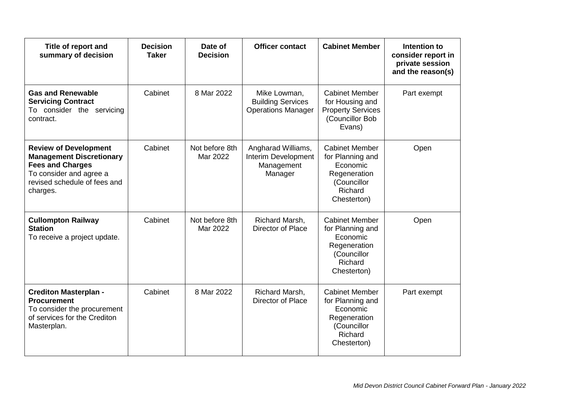| Title of report and<br>summary of decision                                                                                                                        | <b>Decision</b><br><b>Taker</b> | Date of<br><b>Decision</b> | <b>Officer contact</b>                                                | <b>Cabinet Member</b>                                                                                          | Intention to<br>consider report in<br>private session<br>and the reason(s) |
|-------------------------------------------------------------------------------------------------------------------------------------------------------------------|---------------------------------|----------------------------|-----------------------------------------------------------------------|----------------------------------------------------------------------------------------------------------------|----------------------------------------------------------------------------|
| <b>Gas and Renewable</b><br><b>Servicing Contract</b><br>To consider the servicing<br>contract.                                                                   | Cabinet                         | 8 Mar 2022                 | Mike Lowman,<br><b>Building Services</b><br><b>Operations Manager</b> | <b>Cabinet Member</b><br>for Housing and<br><b>Property Services</b><br>(Councillor Bob<br>Evans)              | Part exempt                                                                |
| <b>Review of Development</b><br><b>Management Discretionary</b><br><b>Fees and Charges</b><br>To consider and agree a<br>revised schedule of fees and<br>charges. | Cabinet                         | Not before 8th<br>Mar 2022 | Angharad Williams,<br>Interim Development<br>Management<br>Manager    | <b>Cabinet Member</b><br>for Planning and<br>Economic<br>Regeneration<br>(Councillor<br>Richard<br>Chesterton) | Open                                                                       |
| <b>Cullompton Railway</b><br><b>Station</b><br>To receive a project update.                                                                                       | Cabinet                         | Not before 8th<br>Mar 2022 | Richard Marsh,<br>Director of Place                                   | <b>Cabinet Member</b><br>for Planning and<br>Economic<br>Regeneration<br>(Councillor<br>Richard<br>Chesterton) | Open                                                                       |
| <b>Crediton Masterplan -</b><br><b>Procurement</b><br>To consider the procurement<br>of services for the Crediton<br>Masterplan.                                  | Cabinet                         | 8 Mar 2022                 | Richard Marsh,<br>Director of Place                                   | <b>Cabinet Member</b><br>for Planning and<br>Economic<br>Regeneration<br>(Councillor<br>Richard<br>Chesterton) | Part exempt                                                                |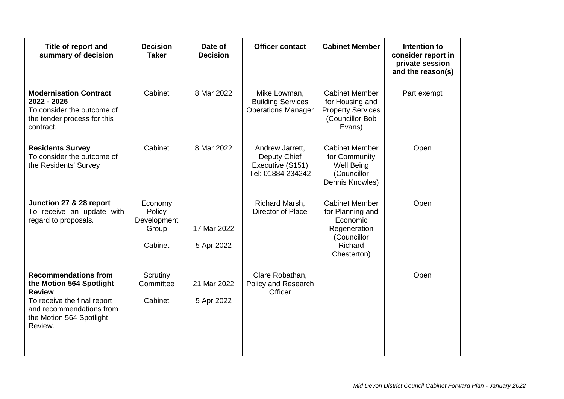| Title of report and<br>summary of decision                                                                                                                                 | <b>Decision</b><br><b>Taker</b>                      | Date of<br><b>Decision</b> | <b>Officer contact</b>                                                   | <b>Cabinet Member</b>                                                                                          | Intention to<br>consider report in<br>private session<br>and the reason(s) |
|----------------------------------------------------------------------------------------------------------------------------------------------------------------------------|------------------------------------------------------|----------------------------|--------------------------------------------------------------------------|----------------------------------------------------------------------------------------------------------------|----------------------------------------------------------------------------|
| <b>Modernisation Contract</b><br>2022 - 2026<br>To consider the outcome of<br>the tender process for this<br>contract.                                                     | Cabinet                                              | 8 Mar 2022                 | Mike Lowman,<br><b>Building Services</b><br><b>Operations Manager</b>    | <b>Cabinet Member</b><br>for Housing and<br><b>Property Services</b><br>(Councillor Bob<br>Evans)              | Part exempt                                                                |
| <b>Residents Survey</b><br>To consider the outcome of<br>the Residents' Survey                                                                                             | Cabinet                                              | 8 Mar 2022                 | Andrew Jarrett,<br>Deputy Chief<br>Executive (S151)<br>Tel: 01884 234242 | <b>Cabinet Member</b><br>for Community<br><b>Well Being</b><br>(Councillor<br>Dennis Knowles)                  | Open                                                                       |
| Junction 27 & 28 report<br>To receive an update with<br>regard to proposals.                                                                                               | Economy<br>Policy<br>Development<br>Group<br>Cabinet | 17 Mar 2022<br>5 Apr 2022  | Richard Marsh,<br>Director of Place                                      | <b>Cabinet Member</b><br>for Planning and<br>Economic<br>Regeneration<br>(Councillor<br>Richard<br>Chesterton) | Open                                                                       |
| <b>Recommendations from</b><br>the Motion 564 Spotlight<br><b>Review</b><br>To receive the final report<br>and recommendations from<br>the Motion 564 Spotlight<br>Review. | Scrutiny<br>Committee<br>Cabinet                     | 21 Mar 2022<br>5 Apr 2022  | Clare Robathan,<br>Policy and Research<br>Officer                        |                                                                                                                | Open                                                                       |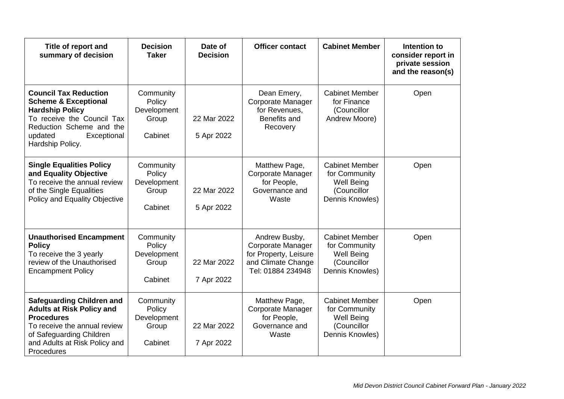| Title of report and<br>summary of decision                                                                                                                                                           | <b>Decision</b><br><b>Taker</b>                        | Date of<br><b>Decision</b> | <b>Officer contact</b>                                                                                 | <b>Cabinet Member</b>                                                                         | Intention to<br>consider report in<br>private session<br>and the reason(s) |
|------------------------------------------------------------------------------------------------------------------------------------------------------------------------------------------------------|--------------------------------------------------------|----------------------------|--------------------------------------------------------------------------------------------------------|-----------------------------------------------------------------------------------------------|----------------------------------------------------------------------------|
| <b>Council Tax Reduction</b><br><b>Scheme &amp; Exceptional</b><br><b>Hardship Policy</b><br>To receive the Council Tax<br>Reduction Scheme and the<br>updated<br>Exceptional<br>Hardship Policy.    | Community<br>Policy<br>Development<br>Group<br>Cabinet | 22 Mar 2022<br>5 Apr 2022  | Dean Emery,<br>Corporate Manager<br>for Revenues,<br>Benefits and<br>Recovery                          | <b>Cabinet Member</b><br>for Finance<br>(Councillor<br>Andrew Moore)                          | Open                                                                       |
| <b>Single Equalities Policy</b><br>and Equality Objective<br>To receive the annual review<br>of the Single Equalities<br>Policy and Equality Objective                                               | Community<br>Policy<br>Development<br>Group<br>Cabinet | 22 Mar 2022<br>5 Apr 2022  | Matthew Page,<br>Corporate Manager<br>for People,<br>Governance and<br>Waste                           | <b>Cabinet Member</b><br>for Community<br>Well Being<br>(Councillor<br>Dennis Knowles)        | Open                                                                       |
| <b>Unauthorised Encampment</b><br><b>Policy</b><br>To receive the 3 yearly<br>review of the Unauthorised<br><b>Encampment Policy</b>                                                                 | Community<br>Policy<br>Development<br>Group<br>Cabinet | 22 Mar 2022<br>7 Apr 2022  | Andrew Busby,<br>Corporate Manager<br>for Property, Leisure<br>and Climate Change<br>Tel: 01884 234948 | <b>Cabinet Member</b><br>for Community<br><b>Well Being</b><br>(Councillor<br>Dennis Knowles) | Open                                                                       |
| <b>Safeguarding Children and</b><br><b>Adults at Risk Policy and</b><br><b>Procedures</b><br>To receive the annual review<br>of Safeguarding Children<br>and Adults at Risk Policy and<br>Procedures | Community<br>Policy<br>Development<br>Group<br>Cabinet | 22 Mar 2022<br>7 Apr 2022  | Matthew Page,<br>Corporate Manager<br>for People,<br>Governance and<br>Waste                           | <b>Cabinet Member</b><br>for Community<br><b>Well Being</b><br>(Councillor<br>Dennis Knowles) | Open                                                                       |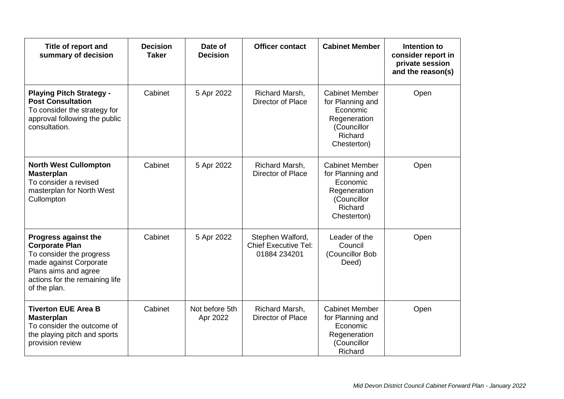| Title of report and<br>summary of decision                                                                                                                                           | <b>Decision</b><br><b>Taker</b> | Date of<br><b>Decision</b> | <b>Officer contact</b>                                          | <b>Cabinet Member</b>                                                                                          | Intention to<br>consider report in<br>private session<br>and the reason(s) |
|--------------------------------------------------------------------------------------------------------------------------------------------------------------------------------------|---------------------------------|----------------------------|-----------------------------------------------------------------|----------------------------------------------------------------------------------------------------------------|----------------------------------------------------------------------------|
| <b>Playing Pitch Strategy -</b><br><b>Post Consultation</b><br>To consider the strategy for<br>approval following the public<br>consultation.                                        | Cabinet                         | 5 Apr 2022                 | Richard Marsh,<br>Director of Place                             | <b>Cabinet Member</b><br>for Planning and<br>Economic<br>Regeneration<br>(Councillor<br>Richard<br>Chesterton) | Open                                                                       |
| <b>North West Cullompton</b><br><b>Masterplan</b><br>To consider a revised<br>masterplan for North West<br>Cullompton                                                                | Cabinet                         | 5 Apr 2022                 | Richard Marsh,<br>Director of Place                             | <b>Cabinet Member</b><br>for Planning and<br>Economic<br>Regeneration<br>(Councillor<br>Richard<br>Chesterton) | Open                                                                       |
| <b>Progress against the</b><br><b>Corporate Plan</b><br>To consider the progress<br>made against Corporate<br>Plans aims and agree<br>actions for the remaining life<br>of the plan. | Cabinet                         | 5 Apr 2022                 | Stephen Walford,<br><b>Chief Executive Tel:</b><br>01884 234201 | Leader of the<br>Council<br>(Councillor Bob<br>Deed)                                                           | Open                                                                       |
| <b>Tiverton EUE Area B</b><br><b>Masterplan</b><br>To consider the outcome of<br>the playing pitch and sports<br>provision review                                                    | Cabinet                         | Not before 5th<br>Apr 2022 | Richard Marsh,<br>Director of Place                             | <b>Cabinet Member</b><br>for Planning and<br>Economic<br>Regeneration<br>(Councillor<br>Richard                | Open                                                                       |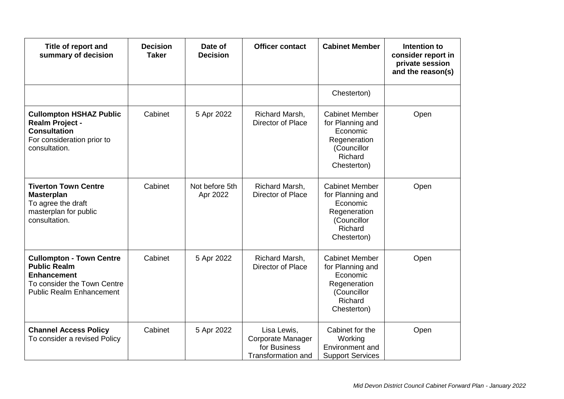| Title of report and<br>summary of decision                                                                                                     | <b>Decision</b><br><b>Taker</b> | Date of<br><b>Decision</b> | <b>Officer contact</b>                                                 | <b>Cabinet Member</b>                                                                                          | Intention to<br>consider report in<br>private session<br>and the reason(s) |
|------------------------------------------------------------------------------------------------------------------------------------------------|---------------------------------|----------------------------|------------------------------------------------------------------------|----------------------------------------------------------------------------------------------------------------|----------------------------------------------------------------------------|
|                                                                                                                                                |                                 |                            |                                                                        | Chesterton)                                                                                                    |                                                                            |
| <b>Cullompton HSHAZ Public</b><br><b>Realm Project -</b><br><b>Consultation</b><br>For consideration prior to<br>consultation.                 | Cabinet                         | 5 Apr 2022                 | Richard Marsh,<br>Director of Place                                    | <b>Cabinet Member</b><br>for Planning and<br>Economic<br>Regeneration<br>(Councillor<br>Richard<br>Chesterton) | Open                                                                       |
| <b>Tiverton Town Centre</b><br><b>Masterplan</b><br>To agree the draft<br>masterplan for public<br>consultation.                               | Cabinet                         | Not before 5th<br>Apr 2022 | Richard Marsh,<br>Director of Place                                    | <b>Cabinet Member</b><br>for Planning and<br>Economic<br>Regeneration<br>(Councillor<br>Richard<br>Chesterton) | Open                                                                       |
| <b>Cullompton - Town Centre</b><br><b>Public Realm</b><br><b>Enhancement</b><br>To consider the Town Centre<br><b>Public Realm Enhancement</b> | Cabinet                         | 5 Apr 2022                 | Richard Marsh,<br>Director of Place                                    | <b>Cabinet Member</b><br>for Planning and<br>Economic<br>Regeneration<br>(Councillor<br>Richard<br>Chesterton) | Open                                                                       |
| <b>Channel Access Policy</b><br>To consider a revised Policy                                                                                   | Cabinet                         | 5 Apr 2022                 | Lisa Lewis,<br>Corporate Manager<br>for Business<br>Transformation and | Cabinet for the<br>Working<br>Environment and<br><b>Support Services</b>                                       | Open                                                                       |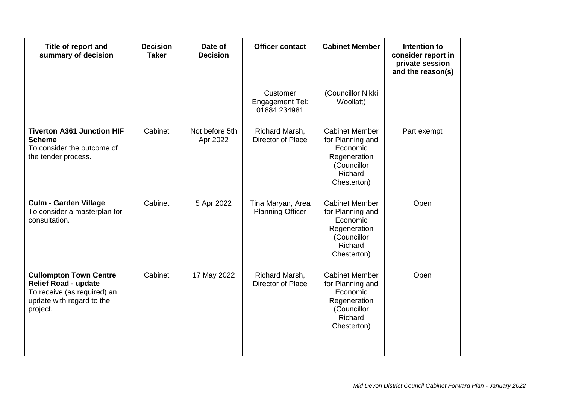| Title of report and<br>summary of decision                                                                                           | <b>Decision</b><br><b>Taker</b> | Date of<br><b>Decision</b> | <b>Officer contact</b>                             | <b>Cabinet Member</b>                                                                                          | Intention to<br>consider report in<br>private session<br>and the reason(s) |
|--------------------------------------------------------------------------------------------------------------------------------------|---------------------------------|----------------------------|----------------------------------------------------|----------------------------------------------------------------------------------------------------------------|----------------------------------------------------------------------------|
|                                                                                                                                      |                                 |                            | Customer<br><b>Engagement Tel:</b><br>01884 234981 | (Councillor Nikki<br>Woollatt)                                                                                 |                                                                            |
| <b>Tiverton A361 Junction HIF</b><br><b>Scheme</b><br>To consider the outcome of<br>the tender process.                              | Cabinet                         | Not before 5th<br>Apr 2022 | Richard Marsh,<br>Director of Place                | <b>Cabinet Member</b><br>for Planning and<br>Economic<br>Regeneration<br>(Councillor<br>Richard<br>Chesterton) | Part exempt                                                                |
| <b>Culm - Garden Village</b><br>To consider a masterplan for<br>consultation.                                                        | Cabinet                         | 5 Apr 2022                 | Tina Maryan, Area<br><b>Planning Officer</b>       | <b>Cabinet Member</b><br>for Planning and<br>Economic<br>Regeneration<br>(Councillor<br>Richard<br>Chesterton) | Open                                                                       |
| <b>Cullompton Town Centre</b><br><b>Relief Road - update</b><br>To receive (as required) an<br>update with regard to the<br>project. | Cabinet                         | 17 May 2022                | Richard Marsh,<br>Director of Place                | <b>Cabinet Member</b><br>for Planning and<br>Economic<br>Regeneration<br>(Councillor<br>Richard<br>Chesterton) | Open                                                                       |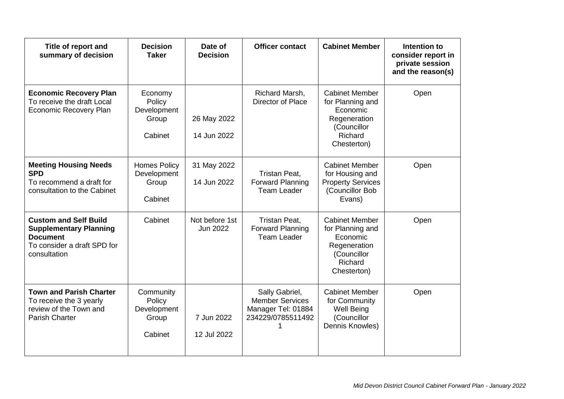| Title of report and<br>summary of decision                                                                                      | <b>Decision</b><br><b>Taker</b>                        | Date of<br><b>Decision</b>        | <b>Officer contact</b>                                                              | <b>Cabinet Member</b>                                                                                          | Intention to<br>consider report in<br>private session<br>and the reason(s) |
|---------------------------------------------------------------------------------------------------------------------------------|--------------------------------------------------------|-----------------------------------|-------------------------------------------------------------------------------------|----------------------------------------------------------------------------------------------------------------|----------------------------------------------------------------------------|
| <b>Economic Recovery Plan</b><br>To receive the draft Local<br><b>Economic Recovery Plan</b>                                    | Economy<br>Policy<br>Development<br>Group<br>Cabinet   | 26 May 2022<br>14 Jun 2022        | Richard Marsh,<br>Director of Place                                                 | <b>Cabinet Member</b><br>for Planning and<br>Economic<br>Regeneration<br>(Councillor<br>Richard<br>Chesterton) | Open                                                                       |
| <b>Meeting Housing Needs</b><br><b>SPD</b><br>To recommend a draft for<br>consultation to the Cabinet                           | <b>Homes Policy</b><br>Development<br>Group<br>Cabinet | 31 May 2022<br>14 Jun 2022        | Tristan Peat,<br><b>Forward Planning</b><br><b>Team Leader</b>                      | <b>Cabinet Member</b><br>for Housing and<br><b>Property Services</b><br>(Councillor Bob<br>Evans)              | Open                                                                       |
| <b>Custom and Self Build</b><br><b>Supplementary Planning</b><br><b>Document</b><br>To consider a draft SPD for<br>consultation | Cabinet                                                | Not before 1st<br><b>Jun 2022</b> | Tristan Peat,<br><b>Forward Planning</b><br><b>Team Leader</b>                      | <b>Cabinet Member</b><br>for Planning and<br>Economic<br>Regeneration<br>(Councillor<br>Richard<br>Chesterton) | Open                                                                       |
| <b>Town and Parish Charter</b><br>To receive the 3 yearly<br>review of the Town and<br><b>Parish Charter</b>                    | Community<br>Policy<br>Development<br>Group<br>Cabinet | 7 Jun 2022<br>12 Jul 2022         | Sally Gabriel,<br><b>Member Services</b><br>Manager Tel: 01884<br>234229/0785511492 | <b>Cabinet Member</b><br>for Community<br><b>Well Being</b><br>(Councillor<br>Dennis Knowles)                  | Open                                                                       |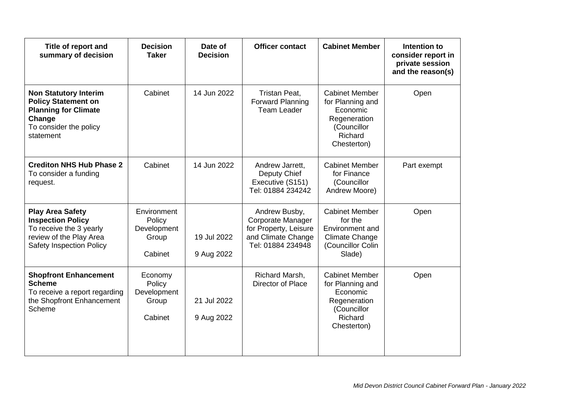| Title of report and<br>summary of decision                                                                                                   | <b>Decision</b><br><b>Taker</b>                          | Date of<br><b>Decision</b> | <b>Officer contact</b>                                                                                 | <b>Cabinet Member</b>                                                                                              | Intention to<br>consider report in<br>private session<br>and the reason(s) |
|----------------------------------------------------------------------------------------------------------------------------------------------|----------------------------------------------------------|----------------------------|--------------------------------------------------------------------------------------------------------|--------------------------------------------------------------------------------------------------------------------|----------------------------------------------------------------------------|
| <b>Non Statutory Interim</b><br><b>Policy Statement on</b><br><b>Planning for Climate</b><br>Change<br>To consider the policy<br>statement   | Cabinet                                                  | 14 Jun 2022                | Tristan Peat,<br><b>Forward Planning</b><br><b>Team Leader</b>                                         | <b>Cabinet Member</b><br>for Planning and<br>Economic<br>Regeneration<br>(Councillor<br>Richard<br>Chesterton)     | Open                                                                       |
| <b>Crediton NHS Hub Phase 2</b><br>To consider a funding<br>request.                                                                         | Cabinet                                                  | 14 Jun 2022                | Andrew Jarrett,<br>Deputy Chief<br>Executive (S151)<br>Tel: 01884 234242                               | <b>Cabinet Member</b><br>for Finance<br>(Councillor<br>Andrew Moore)                                               | Part exempt                                                                |
| <b>Play Area Safety</b><br><b>Inspection Policy</b><br>To receive the 3 yearly<br>review of the Play Area<br><b>Safety Inspection Policy</b> | Environment<br>Policy<br>Development<br>Group<br>Cabinet | 19 Jul 2022<br>9 Aug 2022  | Andrew Busby,<br>Corporate Manager<br>for Property, Leisure<br>and Climate Change<br>Tel: 01884 234948 | <b>Cabinet Member</b><br>for the<br><b>Environment and</b><br><b>Climate Change</b><br>(Councillor Colin<br>Slade) | Open                                                                       |
| <b>Shopfront Enhancement</b><br><b>Scheme</b><br>To receive a report regarding<br>the Shopfront Enhancement<br>Scheme                        | Economy<br>Policy<br>Development<br>Group<br>Cabinet     | 21 Jul 2022<br>9 Aug 2022  | Richard Marsh,<br>Director of Place                                                                    | <b>Cabinet Member</b><br>for Planning and<br>Economic<br>Regeneration<br>(Councillor<br>Richard<br>Chesterton)     | Open                                                                       |